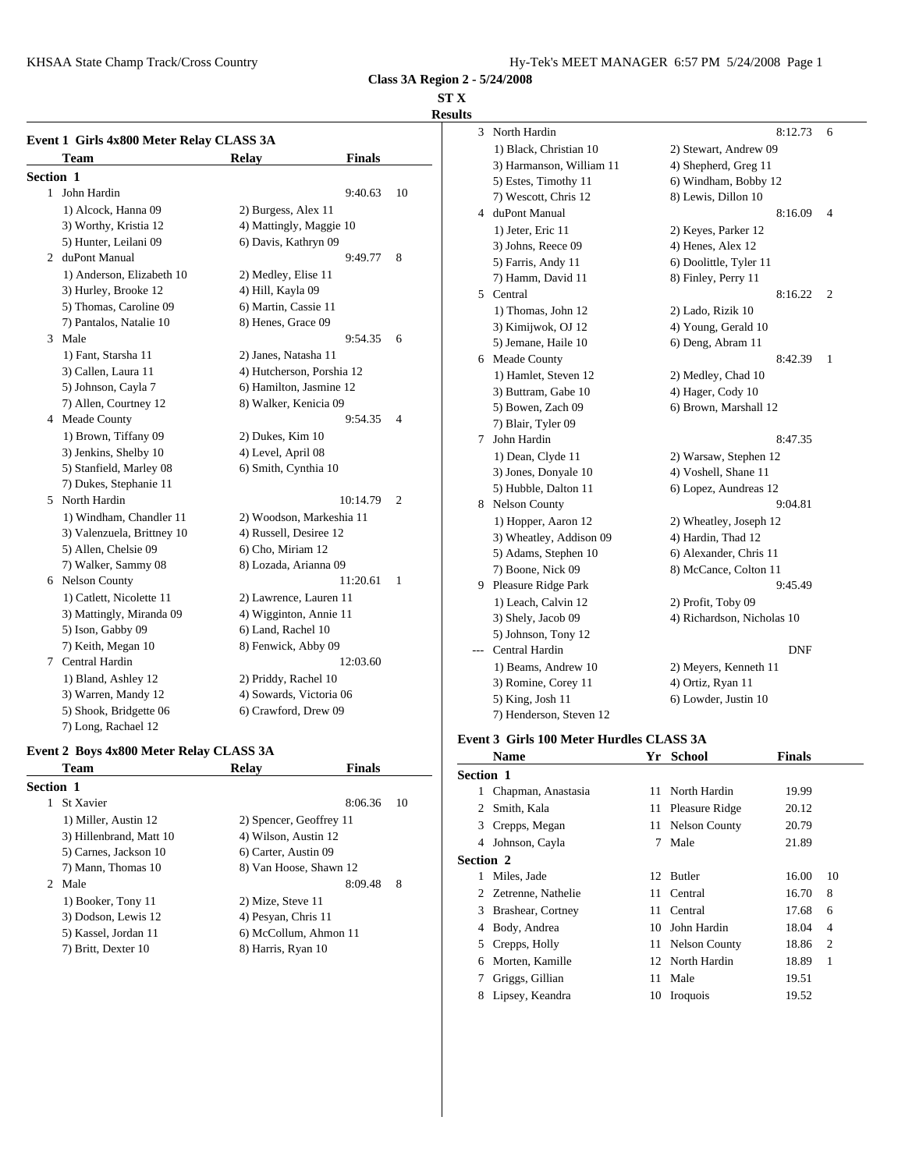KHSAA State Champ Track/Cross Country Hy-Tek's MEET MANAGER 6:57 PM 5/24/2008 Page 1

**Class 3A Region 2 - 5/24/2008**

# **ST X**

# **Results**

|                  | Event 1 Girls 4x800 Meter Relay CLASS 3A |                           |               |                | $\mathfrak{I}$ | <b>NOIL</b>       |
|------------------|------------------------------------------|---------------------------|---------------|----------------|----------------|-------------------|
|                  | Team                                     | <b>Relay</b>              | <b>Finals</b> |                |                | $1)$ Bla<br>3) Ha |
| <b>Section 1</b> |                                          |                           |               |                |                | $5)$ Est          |
|                  | 1 John Hardin                            |                           | 9:40.63       | 10             |                | $7)$ We           |
|                  | 1) Alcock, Hanna 09                      | 2) Burgess, Alex 11       |               |                | 4              | duPor             |
|                  | 3) Worthy, Kristia 12                    | 4) Mattingly, Maggie 10   |               |                |                | $1)$ Jet          |
|                  | 5) Hunter, Leilani 09                    | 6) Davis, Kathryn 09      |               |                |                | $3)$ Joh          |
|                  | 2 duPont Manual                          |                           | 9:49.77       | 8              |                | 5) Fai            |
|                  | 1) Anderson, Elizabeth 10                | 2) Medley, Elise 11       |               |                |                | 7) Ha             |
|                  | 3) Hurley, Brooke 12                     | 4) Hill, Kayla 09         |               |                | 5.             | Centr             |
|                  | 5) Thomas, Caroline 09                   | 6) Martin, Cassie 11      |               |                |                | $1)$ Th           |
|                  | 7) Pantalos, Natalie 10                  | 8) Henes, Grace 09        |               |                |                | 3) Kii            |
|                  | 3 Male                                   |                           | 9:54.35       | 6              |                | $5)$ Jen          |
|                  | 1) Fant, Starsha 11                      | 2) Janes, Natasha 11      |               |                | 6              | Mead              |
|                  | 3) Callen, Laura 11                      | 4) Hutcherson, Porshia 12 |               |                |                | $1)$ Ha           |
|                  | 5) Johnson, Cayla 7                      | 6) Hamilton, Jasmine 12   |               |                |                | $3)$ Bu           |
|                  | 7) Allen, Courtney 12                    | 8) Walker, Kenicia 09     |               |                |                | 5) Bo             |
|                  | 4 Meade County                           |                           | 9:54.35       | $\overline{4}$ |                | $7)$ Bla          |
|                  | 1) Brown, Tiffany 09                     | 2) Dukes, Kim 10          |               |                | 7              | John 1            |
|                  | 3) Jenkins, Shelby 10                    | 4) Level, April 08        |               |                |                | $1)$ De           |
|                  | 5) Stanfield, Marley 08                  | 6) Smith, Cynthia 10      |               |                |                | $3)$ Jor          |
|                  | 7) Dukes, Stephanie 11                   |                           |               |                |                | 5) Hu             |
| 5                | North Hardin                             |                           | 10:14.79      | $\overline{2}$ |                | 8 Nelso           |
|                  | 1) Windham, Chandler 11                  | 2) Woodson, Markeshia 11  |               |                |                | $1)$ Ho           |
|                  | 3) Valenzuela, Brittney 10               | 4) Russell, Desiree 12    |               |                |                | $3)$ Wh           |
|                  | 5) Allen, Chelsie 09                     | 6) Cho, Miriam 12         |               |                |                | $5)$ Ad           |
|                  | 7) Walker, Sammy 08                      | 8) Lozada, Arianna 09     |               |                |                | $7)$ Bo           |
|                  | 6 Nelson County                          |                           | 11:20.61      | 1              | 9              | Pleasu            |
|                  | 1) Catlett, Nicolette 11                 | 2) Lawrence, Lauren 11    |               |                |                | $1)$ Le           |
|                  | 3) Mattingly, Miranda 09                 | 4) Wigginton, Annie 11    |               |                |                | $3)$ Sho          |
|                  | 5) Ison, Gabby 09                        | 6) Land, Rachel 10        |               |                |                | $5)$ Joh          |
|                  | 7) Keith, Megan 10                       | 8) Fenwick, Abby 09       |               |                |                | Centr             |
|                  | 7 Central Hardin                         |                           | 12:03.60      |                |                | $1)$ Be           |
|                  | 1) Bland, Ashley 12                      | 2) Priddy, Rachel 10      |               |                |                | $3)$ Ro           |
|                  | 3) Warren, Mandy 12                      | 4) Sowards, Victoria 06   |               |                |                | 5) Kii            |
|                  | 5) Shook, Bridgette 06                   | 6) Crawford, Drew 09      |               |                |                | 7) He             |
|                  | 7) Long, Rachael 12                      |                           |               |                |                |                   |

# **Event 2 Boys 4x800 Meter Relay CLASS 3A**

| <b>Team</b>             | Relay                   | <b>Finals</b> |    | Section 1     |              |
|-------------------------|-------------------------|---------------|----|---------------|--------------|
| <b>Section 1</b>        |                         |               |    | 1             | Chapi        |
| <b>St Xavier</b>        |                         | 8:06.36       | 10 |               | 2 Smith      |
| 1) Miller, Austin 12    | 2) Spencer, Geoffrey 11 |               |    |               | 3 Crepp      |
| 3) Hillenbrand, Matt 10 | 4) Wilson, Austin 12    |               |    |               | 4 Johns      |
| 5) Carnes, Jackson 10   | 6) Carter, Austin 09    |               |    | Section 2     |              |
| 7) Mann, Thomas 10      | 8) Van Hoose, Shawn 12  |               |    |               | Miles        |
| 2 Male                  |                         | 8:09.48       | 8  |               |              |
| 1) Booker, Tony 11      | 2) Mize, Steve 11       |               |    |               | 2 Zetrei     |
| 3) Dodson, Lewis 12     | 4) Pesyan, Chris 11     |               |    | $\mathcal{E}$ | <b>Brash</b> |
| 5) Kassel, Jordan 11    | 6) McCollum, Ahmon 11   |               |    | 4             | Body.        |
| 7) Britt, Dexter 10     | 8) Harris, Ryan 10      |               |    |               | 5 Crepp      |
|                         |                         |               |    |               | $6$ Morte    |

| 3 | North Hardin             | 8:12.73                    | 6 |
|---|--------------------------|----------------------------|---|
|   | 1) Black, Christian 10   | 2) Stewart, Andrew 09      |   |
|   | 3) Harmanson, William 11 | 4) Shepherd, Greg 11       |   |
|   | 5) Estes, Timothy 11     | 6) Windham, Bobby 12       |   |
|   | 7) Wescott, Chris 12     | 8) Lewis, Dillon 10        |   |
| 4 | duPont Manual            | 8:16.09                    | 4 |
|   | 1) Jeter, Eric 11        | 2) Keyes, Parker 12        |   |
|   | 3) Johns, Reece 09       | 4) Henes, Alex 12          |   |
|   | 5) Farris, Andy 11       | 6) Doolittle, Tyler 11     |   |
|   | 7) Hamm, David 11        | 8) Finley, Perry 11        |   |
|   | 5 Central                | 8:16.22                    | 2 |
|   | 1) Thomas, John 12       | 2) Lado, Rizik 10          |   |
|   | 3) Kimijwok, OJ 12       | 4) Young, Gerald 10        |   |
|   | 5) Jemane, Haile 10      | 6) Deng, Abram 11          |   |
|   | 6 Meade County           | 8:42.39                    | 1 |
|   | 1) Hamlet, Steven 12     | 2) Medley, Chad 10         |   |
|   | 3) Buttram, Gabe 10      | 4) Hager, Cody 10          |   |
|   | 5) Bowen, Zach 09        | 6) Brown, Marshall 12      |   |
|   | 7) Blair, Tyler 09       |                            |   |
| 7 | John Hardin              | 8:47.35                    |   |
|   | 1) Dean, Clyde 11        | 2) Warsaw, Stephen 12      |   |
|   | 3) Jones, Donyale 10     | 4) Voshell, Shane 11       |   |
|   | 5) Hubble, Dalton 11     | 6) Lopez, Aundreas 12      |   |
|   | 8 Nelson County          | 9:04.81                    |   |
|   | 1) Hopper, Aaron 12      | 2) Wheatley, Joseph 12     |   |
|   | 3) Wheatley, Addison 09  | 4) Hardin, Thad 12         |   |
|   | 5) Adams, Stephen 10     | 6) Alexander, Chris 11     |   |
|   | 7) Boone, Nick 09        | 8) McCance, Colton 11      |   |
|   | 9 Pleasure Ridge Park    | 9:45.49                    |   |
|   | 1) Leach, Calvin 12      | 2) Profit, Toby 09         |   |
|   | 3) Shely, Jacob 09       | 4) Richardson, Nicholas 10 |   |
|   | 5) Johnson, Tony 12      |                            |   |
|   | Central Hardin           | DNF                        |   |
|   | 1) Beams, Andrew 10      | 2) Meyers, Kenneth 11      |   |
|   | 3) Romine, Corey 11      | 4) Ortiz, Ryan 11          |   |
|   | 5) King, Josh 11         | 6) Lowder, Justin 10       |   |
|   | 7) Henderson, Steven 12  |                            |   |

# **Event 3 Girls 100 Meter Hurdles CLASS 3A**

|                  | <b>Name</b>          | Yr | School            | <b>Finals</b> |                |
|------------------|----------------------|----|-------------------|---------------|----------------|
| <b>Section 1</b> |                      |    |                   |               |                |
| 1                | Chapman, Anastasia   | 11 | North Hardin      | 19.99         |                |
| 2                | Smith, Kala          |    | 11 Pleasure Ridge | 20.12         |                |
|                  | 3 Crepps, Megan      |    | 11 Nelson County  | 20.79         |                |
| 4                | Johnson, Cayla       | 7  | Male              | 21.89         |                |
| <b>Section 2</b> |                      |    |                   |               |                |
|                  | Miles, Jade          |    | 12 Butler         | 16.00         | 10             |
|                  | 2 Zetrenne, Nathelie | 11 | Central           | 16.70         | 8              |
| 3                | Brashear, Cortney    |    | 11 Central        | 17.68         | 6              |
| 4                | Body, Andrea         | 10 | John Hardin       | 18.04         | $\overline{4}$ |
| 5                | Crepps, Holly        |    | 11 Nelson County  | 18.86         | $\overline{2}$ |
| 6                | Morten, Kamille      |    | 12 North Hardin   | 18.89         | 1              |
|                  | Griggs, Gillian      | 11 | Male              | 19.51         |                |
| 8                | Lipsey, Keandra      | 10 | Iroquois          | 19.52         |                |
|                  |                      |    |                   |               |                |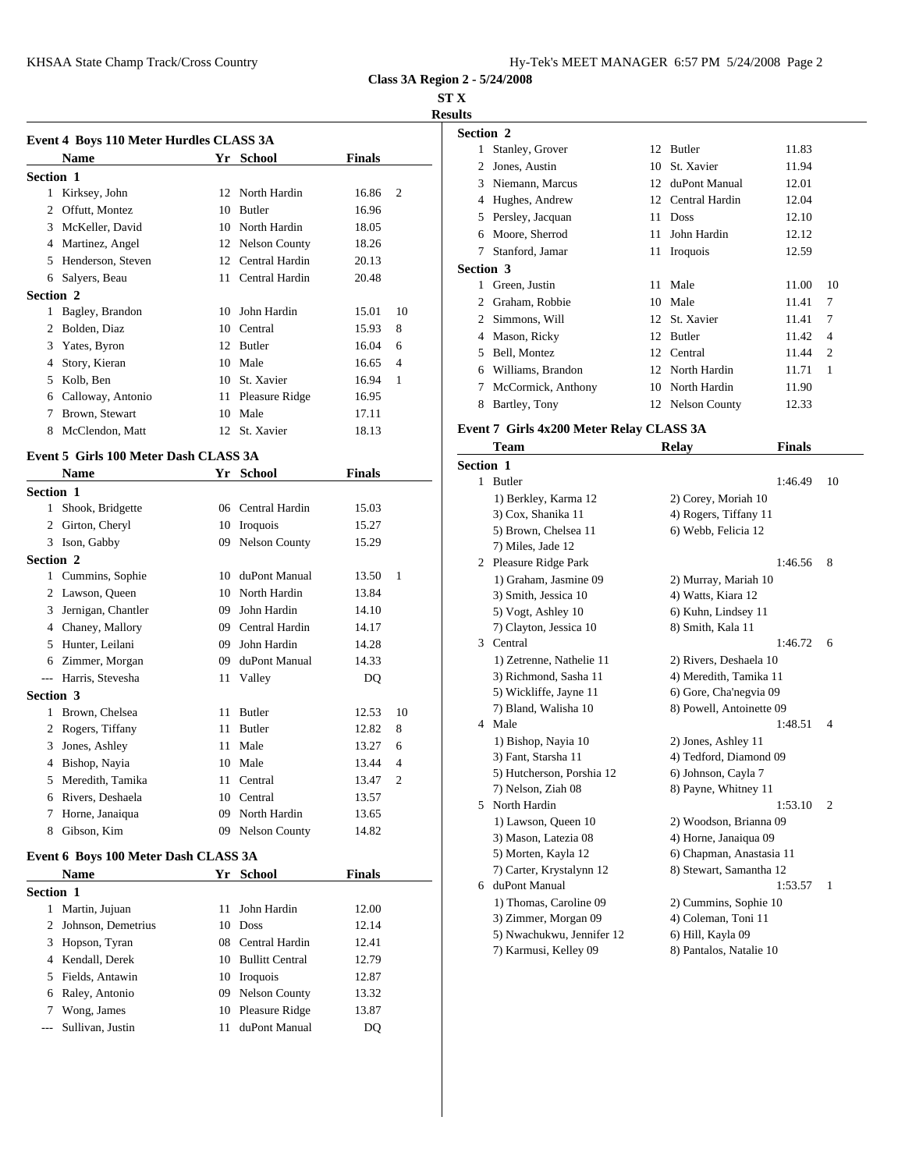### **ST X**

**Results**

|                  | Event 4 Boys 110 Meter Hurdles CLASS 3A |    |                      |               |                | Section 2               |
|------------------|-----------------------------------------|----|----------------------|---------------|----------------|-------------------------|
|                  | <b>Name</b>                             |    | Yr School            | <b>Finals</b> |                | Stanle<br>1             |
| <b>Section 1</b> |                                         |    |                      |               |                | Jones<br>2<br>Niem<br>3 |
|                  | Kirksey, John                           | 12 | North Hardin         | 16.86         | $\overline{c}$ | Hugh<br>4               |
| 2                | Offutt, Montez                          | 10 | Butler               | 16.96         |                | Persle<br>5             |
| 3                | McKeller, David                         | 10 | North Hardin         | 18.05         |                | Moor<br>6               |
| 4                | Martinez, Angel                         | 12 | <b>Nelson County</b> | 18.26         |                | Stanfo                  |
| 5                | Henderson, Steven                       | 12 | Central Hardin       | 20.13         |                | <b>Section 3</b>        |
| 6                | Salyers, Beau                           | 11 | Central Hardin       | 20.48         |                | Green                   |
| <b>Section 2</b> |                                         |    |                      |               |                | 2                       |
|                  | Bagley, Brandon                         | 10 | John Hardin          | 15.01         | 10             | Graha<br>Simm<br>2      |
| 2                | Bolden, Diaz                            | 10 | Central              | 15.93         | 8              | Maso<br>4               |
| 3                | Yates, Byron                            | 12 | Butler               | 16.04         | 6              | 5                       |
| 4                | Story, Kieran                           | 10 | Male                 | 16.65         | $\overline{4}$ | Bell, l<br>Willia       |
| 5                | Kolb, Ben                               | 10 | St. Xavier           | 16.94         | $\overline{1}$ | 6<br>7                  |
| 6                | Calloway, Antonio                       | 11 | Pleasure Ridge       | 16.95         |                | McCo                    |
| 7                | Brown, Stewart                          | 10 | Male                 | 17.11         |                | 8<br>Bartle             |
| 8                | McClendon, Matt                         | 12 | St. Xavier           | 18.13         |                | Event 7 Gi              |

# **Event 5 Girls 100 Meter Dash CLASS 3A**

|           | <b>Name</b>          |    | Yr School            | <b>Finals</b> |                | эесион 1     |                             |
|-----------|----------------------|----|----------------------|---------------|----------------|--------------|-----------------------------|
| Section 1 |                      |    |                      |               |                | $\mathbf{1}$ | <b>Butler</b><br>1) Berkley |
| 1         | Shook, Bridgette     |    | 06 Central Hardin    | 15.03         |                |              | $3)$ Cox, Sh                |
| 2         | Girton, Cheryl       | 10 | Iroquois             | 15.27         |                |              | 5) Brown,                   |
|           | 3 Ison, Gabby        | 09 | <b>Nelson County</b> | 15.29         |                |              | 7) Miles, J                 |
| Section 2 |                      |    |                      |               |                |              | 2 Pleasure R                |
| 1         | Cummins, Sophie      | 10 | duPont Manual        | 13.50         | -1             |              | 1) Graham                   |
|           | 2 Lawson, Queen      | 10 | North Hardin         | 13.84         |                |              | 3) Smith, J                 |
| 3         | Jernigan, Chantler   | 09 | John Hardin          | 14.10         |                |              | 5) Vogt, A                  |
| 4         | Chaney, Mallory      | 09 | Central Hardin       | 14.17         |                |              | 7) Clayton                  |
| 5         | Hunter, Leilani      | 09 | John Hardin          | 14.28         |                | 3            | Central                     |
| 6         | Zimmer, Morgan       | 09 | duPont Manual        | 14.33         |                |              | 1) Zetrenn                  |
|           | --- Harris, Stevesha | 11 | Valley               | DQ            |                |              | 3) Richmo                   |
| Section 3 |                      |    |                      |               |                |              | 5) Wicklift                 |
|           | Brown, Chelsea       | 11 | <b>Butler</b>        | 12.53         | 10             |              | 7) Bland, V                 |
| 2         | Rogers, Tiffany      | 11 | Butler               | 12.82         | 8              |              | 4 Male                      |
| 3         | Jones, Ashley        | 11 | Male                 | 13.27         | 6              |              | 1) Bishop,                  |
| 4         | Bishop, Nayia        | 10 | Male                 | 13.44         | $\overline{4}$ |              | 3) Fant, St                 |
| 5         | Meredith, Tamika     | 11 | Central              | 13.47         | 2              |              | 5) Hutcher                  |
| 6         | Rivers, Deshaela     | 10 | Central              | 13.57         |                |              | 7) Nelson,                  |
| 7         | Horne, Janaiqua      | 09 | North Hardin         | 13.65         |                |              | 5 North Hard                |
| 8         | Gibson, Kim          | 09 | <b>Nelson County</b> | 14.82         |                |              | 1) Lawson                   |
|           |                      |    |                      |               |                |              | 3) Mason                    |

# **Event 6 Boys 100 Meter Dash CLASS 3A**

|                  | <b>Name</b>          |     | Yr School          | <b>Finals</b> | 7) Carter, 1           |
|------------------|----------------------|-----|--------------------|---------------|------------------------|
| <b>Section 1</b> |                      |     |                    |               | 6 duPont Ma            |
|                  | Martin, Jujuan       | 11  | John Hardin        | 12.00         | 1) Thomas              |
|                  | 2 Johnson, Demetrius |     | 10 Doss            | 12.14         | 3) Zimmer              |
|                  | 3 Hopson, Tyran      |     | 08 Central Hardin  | 12.41         | 5) Nwachu<br>7) Karmus |
|                  | 4 Kendall, Derek     |     | 10 Bullitt Central | 12.79         |                        |
|                  | 5 Fields, Antawin    |     | 10 Iroquois        | 12.87         |                        |
|                  | 6 Raley, Antonio     | 09. | Nelson County      | 13.32         |                        |
|                  | Wong, James          | 10  | Pleasure Ridge     | 13.87         |                        |
|                  | --- Sullivan, Justin | 11  | duPont Manual      | DO            |                        |

| Section 2        |                    |    |                  |       |                |
|------------------|--------------------|----|------------------|-------|----------------|
|                  | Stanley, Grover    |    | 12 Butler        | 11.83 |                |
| 2                | Jones, Austin      | 10 | St. Xavier       | 11.94 |                |
| 3                | Niemann, Marcus    | 12 | duPont Manual    | 12.01 |                |
| 4                | Hughes, Andrew     | 12 | Central Hardin   | 12.04 |                |
| 5                | Persley, Jacquan   | 11 | <b>Doss</b>      | 12.10 |                |
| 6                | Moore, Sherrod     | 11 | John Hardin      | 12.12 |                |
| 7                | Stanford, Jamar    |    | 11 Iroquois      | 12.59 |                |
| <b>Section 3</b> |                    |    |                  |       |                |
|                  | Green, Justin      |    | 11 Male          | 11.00 | 10             |
| 2                | Graham, Robbie     |    | 10 Male          | 11.41 | 7              |
| 2                | Simmons, Will      |    | 12 St. Xavier    | 11.41 | 7              |
| 4                | Mason, Ricky       |    | 12 Butler        | 11.42 | $\overline{4}$ |
| 5                | Bell, Montez       | 12 | Central          | 11.44 | $\overline{2}$ |
| 6                | Williams, Brandon  |    | 12 North Hardin  | 11.71 | 1              |
| 7                | McCormick, Anthony | 10 | North Hardin     | 11.90 |                |
| 8                | Bartley, Tony      |    | 12 Nelson County | 12.33 |                |
|                  |                    |    |                  |       |                |

# **Event 7 Girls 4x200 Meter Relay CLASS 3A**

|                  | Team                      | Relay                    | <b>Finals</b> |                |
|------------------|---------------------------|--------------------------|---------------|----------------|
| <b>Section 1</b> |                           |                          |               |                |
|                  | 1 Butler                  |                          | 1:46.49       | 10             |
|                  | 1) Berkley, Karma 12      | 2) Corey, Moriah 10      |               |                |
|                  | 3) Cox, Shanika 11        | 4) Rogers, Tiffany 11    |               |                |
|                  | 5) Brown, Chelsea 11      | 6) Webb, Felicia 12      |               |                |
|                  | 7) Miles, Jade 12         |                          |               |                |
|                  | 2 Pleasure Ridge Park     |                          | 1:46.56       | 8              |
|                  | 1) Graham, Jasmine 09     | 2) Murray, Mariah 10     |               |                |
|                  | 3) Smith, Jessica 10      | 4) Watts, Kiara 12       |               |                |
|                  | 5) Vogt, Ashley 10        | 6) Kuhn, Lindsey 11      |               |                |
|                  | 7) Clayton, Jessica 10    | 8) Smith, Kala 11        |               |                |
|                  | 3 Central                 |                          | 1:46.72       | 6              |
|                  | 1) Zetrenne, Nathelie 11  | 2) Rivers, Deshaela 10   |               |                |
|                  | 3) Richmond, Sasha 11     | 4) Meredith, Tamika 11   |               |                |
|                  | 5) Wickliffe, Jayne 11    | 6) Gore, Cha'negvia 09   |               |                |
|                  | 7) Bland, Walisha 10      | 8) Powell, Antoinette 09 |               |                |
|                  | 4 Male                    |                          | 1:48.51       | $\overline{4}$ |
|                  | 1) Bishop, Nayia 10       | 2) Jones, Ashley 11      |               |                |
|                  | 3) Fant, Starsha 11       | 4) Tedford, Diamond 09   |               |                |
|                  | 5) Hutcherson, Porshia 12 | 6) Johnson, Cayla 7      |               |                |
|                  | 7) Nelson, Ziah 08        | 8) Payne, Whitney 11     |               |                |
| 5                | North Hardin              |                          | 1:53.10       | $\overline{2}$ |
|                  | 1) Lawson, Queen 10       | 2) Woodson, Brianna 09   |               |                |
|                  | 3) Mason, Latezia 08      | 4) Horne, Janaiqua 09    |               |                |
|                  | 5) Morten, Kayla 12       | 6) Chapman, Anastasia 11 |               |                |
|                  | 7) Carter, Krystalynn 12  | 8) Stewart, Samantha 12  |               |                |
|                  | 6 duPont Manual           |                          | 1:53.57       | 1              |
|                  | 1) Thomas, Caroline 09    | 2) Cummins, Sophie 10    |               |                |
|                  | 3) Zimmer, Morgan 09      | 4) Coleman, Toni 11      |               |                |
|                  | 5) Nwachukwu, Jennifer 12 | 6) Hill, Kayla 09        |               |                |
|                  | 7) Karmusi, Kelley 09     | 8) Pantalos, Natalie 10  |               |                |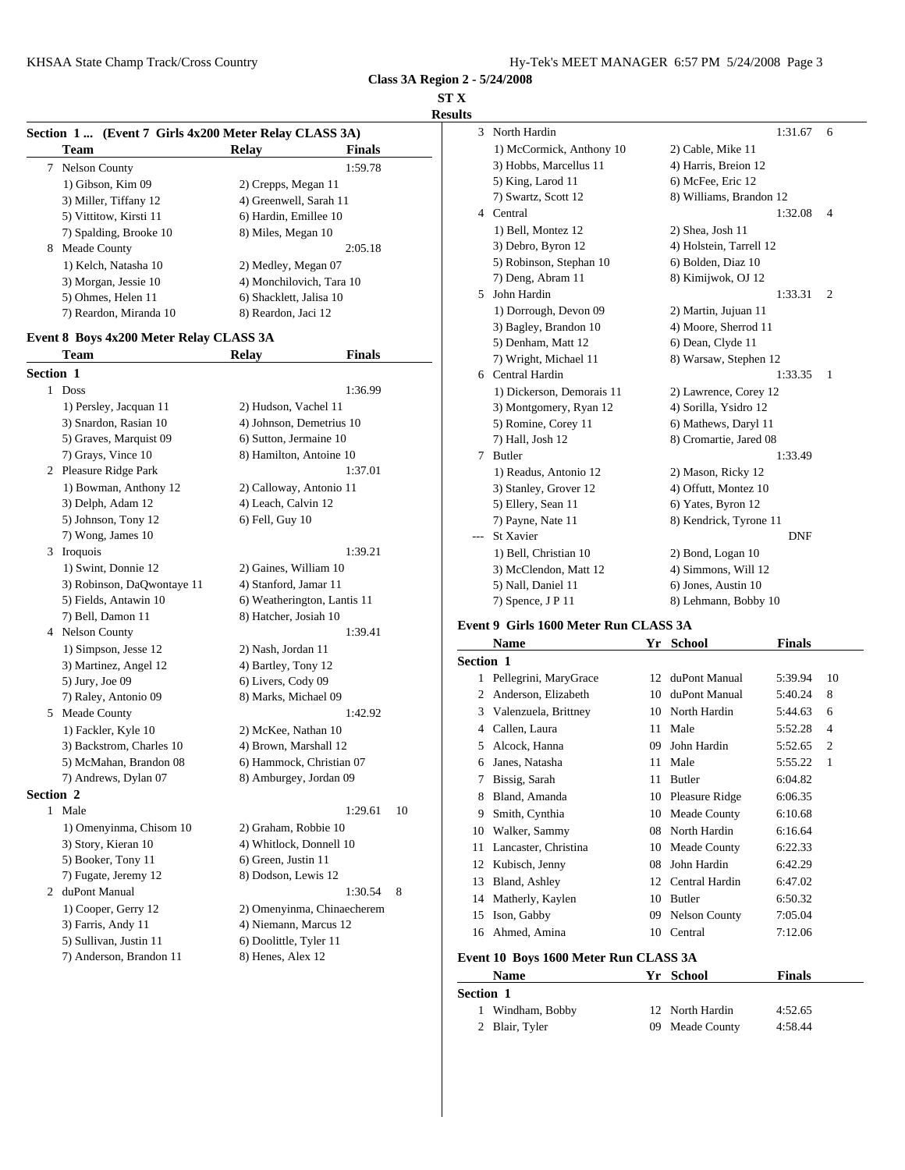#### **ST X**

**Results**

| Section 1 (Event 7 Girls 4x200 Meter Relay CLASS 3A) |                          |               | 3              |
|------------------------------------------------------|--------------------------|---------------|----------------|
| <b>Team</b>                                          | Relav                    | <b>Finals</b> |                |
| <b>Nelson County</b><br>7                            |                          | 1:59.78       |                |
| 1) Gibson, Kim 09                                    | 2) Crepps, Megan 11      |               |                |
| 3) Miller, Tiffany 12                                | 4) Greenwell, Sarah 11   |               |                |
| 5) Vittitow, Kirsti 11                               | 6) Hardin, Emillee 10    |               | $\overline{4}$ |
| 7) Spalding, Brooke 10                               | 8) Miles, Megan 10       |               |                |
| 8<br>Meade County                                    |                          | 2:05.18       |                |
| 1) Kelch, Natasha 10                                 | 2) Medley, Megan 07      |               |                |
| 3) Morgan, Jessie 10                                 | 4) Monchilovich, Tara 10 |               |                |
| 5) Ohmes, Helen 11                                   | 6) Shacklett, Jalisa 10  |               | 5              |
| 7) Reardon, Miranda 10                               | 8) Reardon, Jaci 12      |               |                |
|                                                      |                          |               |                |

# **Event 8 Boys 4x200 Meter Relay CLASS 3A**

|                  | <b>Team</b>                | <b>Relay</b>                | <b>Finals</b> | 7) Wr                  |  |
|------------------|----------------------------|-----------------------------|---------------|------------------------|--|
| <b>Section 1</b> |                            |                             |               | 6 Centr                |  |
|                  | 1 Doss                     |                             | 1:36.99       | $1)$ Di                |  |
|                  | 1) Persley, Jacquan 11     | 2) Hudson, Vachel 11        |               | 3) Mo                  |  |
|                  | 3) Snardon, Rasian 10      | 4) Johnson, Demetrius 10    |               | 5) Ro                  |  |
|                  | 5) Graves, Marquist 09     | 6) Sutton, Jermaine 10      |               | 7) Ha                  |  |
|                  | 7) Grays, Vince 10         | 8) Hamilton, Antoine 10     |               | 7 Butler               |  |
|                  | 2 Pleasure Ridge Park      |                             | 1:37.01       | $1)$ Re                |  |
|                  | 1) Bowman, Anthony 12      | 2) Calloway, Antonio 11     |               | 3) Sta                 |  |
|                  | 3) Delph, Adam 12          | 4) Leach, Calvin 12         |               | 5) Ell                 |  |
|                  | 5) Johnson, Tony 12        | 6) Fell, Guy 10             |               | 7) Pay                 |  |
|                  | 7) Wong, James 10          |                             |               | St Xa                  |  |
|                  | 3 Iroquois                 |                             | 1:39.21       | $1)$ Be                |  |
|                  | 1) Swint, Donnie 12        | 2) Gaines, William 10       |               | $3)$ Mc                |  |
|                  | 3) Robinson, DaQwontaye 11 | 4) Stanford, Jamar 11       |               | 5) Na                  |  |
|                  | 5) Fields, Antawin 10      | 6) Weatherington, Lantis 11 |               | $7)$ Sp                |  |
|                  | 7) Bell, Damon 11          | 8) Hatcher, Josiah 10       |               | Event 9 Gi             |  |
|                  | 4 Nelson County            |                             | 1:39.41       |                        |  |
|                  | 1) Simpson, Jesse 12       | 2) Nash, Jordan 11          |               | <b>Nam</b>             |  |
|                  | 3) Martinez, Angel 12      | 4) Bartley, Tony 12         |               | Section 1              |  |
|                  | 5) Jury, Joe 09            | 6) Livers, Cody 09          |               | $\mathbf{1}$<br>Pelleg |  |
|                  | 7) Raley, Antonio 09       | 8) Marks, Michael 09        |               | 2<br>Ander             |  |
|                  | 5 Meade County             |                             | 1:42.92       | 3<br>Valen             |  |
|                  | 1) Fackler, Kyle 10        | 2) McKee, Nathan 10         |               | 4 Caller               |  |
|                  | 3) Backstrom, Charles 10   | 4) Brown, Marshall 12       |               | 5<br>Alcoc             |  |
|                  | 5) McMahan, Brandon 08     | 6) Hammock, Christian 07    |               | 6<br>Janes.            |  |
|                  | 7) Andrews, Dylan 07       | 8) Amburgey, Jordan 09      |               | Bissig<br>7            |  |
| <b>Section 2</b> |                            |                             |               | Bland<br>8             |  |
| 1                | Male                       |                             | 1:29.61       | 10<br>Smith<br>9       |  |
|                  | 1) Omenyinma, Chisom 10    | 2) Graham, Robbie 10        |               | 10<br>Walk             |  |
|                  | 3) Story, Kieran 10        | 4) Whitlock, Donnell 10     |               | 11<br>Lanca            |  |
|                  | 5) Booker, Tony 11         | 6) Green, Justin 11         |               | 12<br>Kubis            |  |
|                  | 7) Fugate, Jeremy 12       | 8) Dodson, Lewis 12         |               | 13<br>Bland            |  |
|                  | 2 duPont Manual            |                             | 1:30.54<br>8  | 14<br>Mathe            |  |
|                  | 1) Cooper, Gerry 12        | 2) Omenyinma, Chinaecherem  |               | 15<br>Ison,            |  |
|                  | 3) Farris, Andy 11         | 4) Niemann, Marcus 12       |               | Ahme<br>16             |  |
|                  | 5) Sullivan, Justin 11     | 6) Doolittle, Tyler 11      |               |                        |  |
|                  | 7) Anderson, Brandon 11    | 8) Henes, Alex 12           |               | Event 10 B             |  |

| 3 | North Hardin              | 1:31.67                 | 6              |
|---|---------------------------|-------------------------|----------------|
|   | 1) McCormick, Anthony 10  | 2) Cable, Mike 11       |                |
|   | 3) Hobbs, Marcellus 11    | 4) Harris, Breion 12    |                |
|   | 5) King, Larod 11         | 6) McFee, Eric 12       |                |
|   | 7) Swartz, Scott 12       | 8) Williams, Brandon 12 |                |
| 4 | Central                   | 1:32.08                 | $\overline{4}$ |
|   | 1) Bell, Montez 12        | 2) Shea, Josh 11        |                |
|   | 3) Debro, Byron 12        | 4) Holstein, Tarrell 12 |                |
|   | 5) Robinson, Stephan 10   | 6) Bolden, Diaz 10      |                |
|   | 7) Deng, Abram 11         | 8) Kimijwok, OJ 12      |                |
| 5 | John Hardin               | 1:33.31                 | 2              |
|   | 1) Dorrough, Devon 09     | 2) Martin, Jujuan 11    |                |
|   | 3) Bagley, Brandon 10     | 4) Moore, Sherrod 11    |                |
|   | 5) Denham, Matt 12        | 6) Dean, Clyde 11       |                |
|   | 7) Wright, Michael 11     | 8) Warsaw, Stephen 12   |                |
| 6 | Central Hardin            | 1:33.35                 | 1              |
|   | 1) Dickerson, Demorais 11 | 2) Lawrence, Corey 12   |                |
|   | 3) Montgomery, Ryan 12    | 4) Sorilla, Ysidro 12   |                |
|   | 5) Romine, Corey 11       | 6) Mathews, Daryl 11    |                |
|   | 7) Hall, Josh 12          | 8) Cromartie, Jared 08  |                |
| 7 | <b>Butler</b>             | 1:33.49                 |                |
|   | 1) Readus, Antonio 12     | 2) Mason, Ricky 12      |                |
|   | 3) Stanley, Grover 12     | 4) Offutt, Montez 10    |                |
|   | 5) Ellery, Sean 11        | 6) Yates, Byron 12      |                |
|   | 7) Payne, Nate 11         | 8) Kendrick, Tyrone 11  |                |
|   | St Xavier                 | <b>DNF</b>              |                |
|   | 1) Bell, Christian 10     | 2) Bond, Logan 10       |                |
|   | 3) McClendon, Matt 12     | 4) Simmons, Will 12     |                |
|   | 5) Nall, Daniel 11        | 6) Jones, Austin 10     |                |
|   | 7) Spence, J P 11         | 8) Lehmann, Bobby 10    |                |

#### **Event 9 Girls 1600 Meter Run CLASS 3A**

|                  | Name                                  | Yr | <b>School</b>        | <b>Finals</b> |                |
|------------------|---------------------------------------|----|----------------------|---------------|----------------|
| <b>Section 1</b> |                                       |    |                      |               |                |
|                  | 1 Pellegrini, MaryGrace               | 12 | duPont Manual        | 5:39.94       | 10             |
| 2                | Anderson, Elizabeth                   | 10 | duPont Manual        | 5:40.24       | 8              |
| 3                | Valenzuela, Brittney                  | 10 | North Hardin         | 5:44.63       | 6              |
| 4                | Callen, Laura                         | 11 | Male                 | 5:52.28       | $\overline{4}$ |
| 5                | Alcock, Hanna                         | 09 | John Hardin          | 5:52.65       | $\overline{2}$ |
| 6                | Janes, Natasha                        | 11 | Male                 | 5:55.22       | 1              |
| 7                | Bissig, Sarah                         | 11 | Butler               | 6:04.82       |                |
| 8                | Bland, Amanda                         | 10 | Pleasure Ridge       | 6:06.35       |                |
| 9                | Smith, Cynthia                        | 10 | Meade County         | 6:10.68       |                |
| 10               | Walker, Sammy                         | 08 | North Hardin         | 6:16.64       |                |
| 11               | Lancaster, Christina                  | 10 | Meade County         | 6:22.33       |                |
| 12               | Kubisch, Jenny                        | 08 | John Hardin          | 6:42.29       |                |
| 13               | Bland, Ashley                         | 12 | Central Hardin       | 6:47.02       |                |
| 14               | Matherly, Kaylen                      | 10 | <b>Butler</b>        | 6:50.32       |                |
| 15               | Ison, Gabby                           | 09 | <b>Nelson County</b> | 7:05.04       |                |
| 16               | Ahmed, Amina                          | 10 | Central              | 7:12.06       |                |
|                  | Event 10 Boys 1600 Meter Run CLASS 3A |    |                      |               |                |
|                  | Name                                  | Yr | <b>School</b>        | <b>Finals</b> |                |
| <b>Section 1</b> |                                       |    |                      |               |                |
|                  | Windham, Bobby                        | 12 | North Hardin         | 4:52.65       |                |
| 2                | Blair, Tyler                          | 09 | Meade County         | 4:58.44       |                |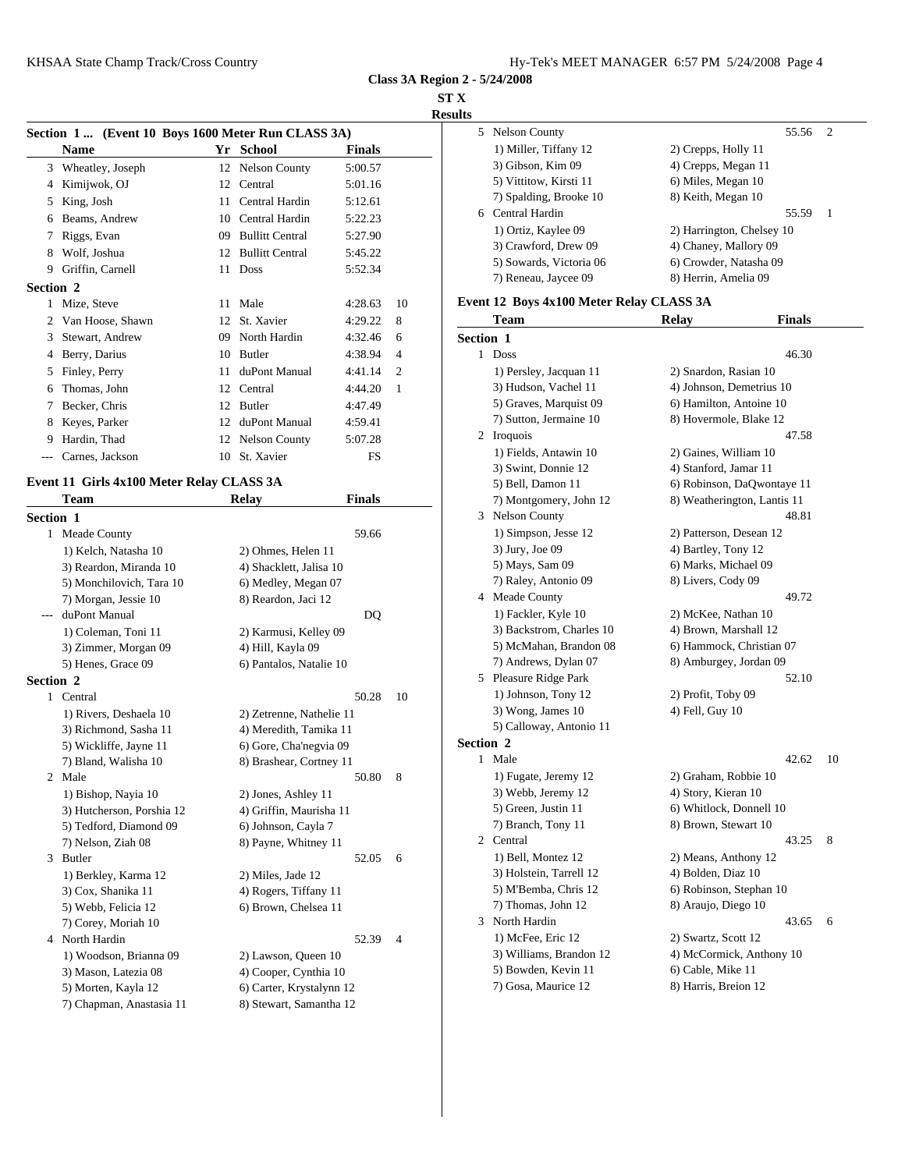**ST X**

|                          | Section 1  (Event 10 Boys 1600 Meter Run CLASS 3A) |               |                | 5 Nelson County                          |                           | 55.56 2       |                          |
|--------------------------|----------------------------------------------------|---------------|----------------|------------------------------------------|---------------------------|---------------|--------------------------|
| <b>Name</b>              | Yr School                                          | <b>Finals</b> |                | 1) Miller, Tiffany 12                    | 2) Crepps, Holly 11       |               |                          |
| 3 Wheatley, Joseph       | 12 Nelson County                                   | 5:00.57       |                | 3) Gibson, Kim 09                        | 4) Crepps, Megan 11       |               |                          |
| 4 Kimijwok, OJ           | 12 Central                                         | 5:01.16       |                | 5) Vittitow, Kirsti 11                   | 6) Miles, Megan 10        |               |                          |
| 5 King, Josh             | 11 Central Hardin                                  | 5:12.61       |                | 7) Spalding, Brooke 10                   | 8) Keith, Megan 10        |               |                          |
| 6 Beams, Andrew          | 10 Central Hardin                                  | 5:22.23       |                | Central Hardin<br>6                      |                           | 55.59         | $\overline{\phantom{0}}$ |
| 7 Riggs, Evan            | <b>Bullitt Central</b><br>09                       | 5:27.90       |                | 1) Ortiz, Kaylee 09                      | 2) Harrington, Chelsey 10 |               |                          |
| 8 Wolf, Joshua           | 12 Bullitt Central                                 | 5:45.22       |                | 3) Crawford, Drew 09                     | 4) Chaney, Mallory 09     |               |                          |
| 9 Griffin, Carnell       | 11 Doss                                            | 5:52.34       |                | 5) Sowards, Victoria 06                  | 6) Crowder, Natasha 09    |               |                          |
| <b>Section 2</b>         |                                                    |               |                | 7) Reneau, Jaycee 09                     | 8) Herrin, Amelia 09      |               |                          |
| Mize, Steve              | 11 Male                                            | 4:28.63       | -10            | Event 12 Boys 4x100 Meter Relay CLASS 3A |                           |               |                          |
| 2 Van Hoose, Shawn       | 12 St. Xavier                                      | 4:29.22       | 8              | Team                                     | <b>Relay</b>              | <b>Finals</b> |                          |
| 3 Stewart, Andrew        | 09 North Hardin                                    | 4:32.46       | -6             | Section 1                                |                           |               |                          |
| 4 Berry, Darius          | 10 Butler                                          | 4:38.94       | $\overline{4}$ | Doss                                     |                           | 46.30         |                          |
| 5 Finley, Perry          | 11 duPont Manual                                   | 4:41.14       | $\overline{2}$ | 1) Persley, Jacquan 11                   | 2) Snardon, Rasian 10     |               |                          |
| 6 Thomas, John           | 12 Central                                         | 4:44.20       |                | 3) Hudson, Vachel 11                     | 4) Johnson, Demetrius 10  |               |                          |
| 7 Becker, Chris          | 12 Butler                                          | 4:47.49       |                | 5) Graves, Marquist 09                   | 6) Hamilton, Antoine 10   |               |                          |
| 8 Keyes, Parker          | 12 duPont Manual                                   | 4:59.41       |                | 7) Sutton, Jermaine 10                   | 8) Hovermole, Blake 12    |               |                          |
| Hardin, Thad<br>9.       | 12 Nelson County                                   | 5:07.28       |                | 2 Iroquois                               |                           | 47.58         |                          |
| Carnes, Jackson<br>$---$ | 10 St. Xavier                                      | FS            |                | 1) Fields, Antawin 10                    | 2) Gaines, William 10     |               |                          |

# **Event 11 Girls 4x100 Meter Relay CLASS 3A**

|                  | Team                      | <b>Relay</b>             | <b>Finals</b> |    |                | 7) Montgo     |
|------------------|---------------------------|--------------------------|---------------|----|----------------|---------------|
| <b>Section 1</b> |                           |                          |               |    |                | 3 Nelson Co   |
|                  | 1 Meade County            |                          | 59.66         |    |                | 1) Simpso:    |
|                  | 1) Kelch, Natasha 10      | 2) Ohmes, Helen 11       |               |    |                | 3) Jury, Jo   |
|                  | 3) Reardon, Miranda 10    | 4) Shacklett, Jalisa 10  |               |    |                | 5) Mays, S    |
|                  | 5) Monchilovich, Tara 10  | 6) Medley, Megan 07      |               |    |                | 7) Raley, $A$ |
|                  | 7) Morgan, Jessie 10      | 8) Reardon, Jaci 12      |               |    |                | 4 Meade Co    |
| $---$            | duPont Manual             |                          | DQ            |    |                | 1) Fackler.   |
|                  | 1) Coleman, Toni 11       | 2) Karmusi, Kelley 09    |               |    |                | 3) Backstro   |
|                  | 3) Zimmer, Morgan 09      | 4) Hill, Kayla 09        |               |    |                | 5) McMah      |
|                  | 5) Henes, Grace 09        | 6) Pantalos, Natalie 10  |               |    |                | 7) Andrew     |
| <b>Section 2</b> |                           |                          |               |    |                | 5 Pleasure R  |
|                  | 1 Central                 |                          | 50.28         | 10 |                | 1) Johnson    |
|                  | 1) Rivers, Deshaela 10    | 2) Zetrenne, Nathelie 11 |               |    |                | 3) Wong, J    |
|                  | 3) Richmond, Sasha 11     | 4) Meredith, Tamika 11   |               |    |                | 5) Callowa    |
|                  | 5) Wickliffe, Jayne 11    | 6) Gore, Cha'negvia 09   |               |    | Section 2      |               |
|                  | 7) Bland, Walisha 10      | 8) Brashear, Cortney 11  |               |    |                | 1 Male        |
|                  | 2 Male                    |                          | 50.80         | 8  |                | 1) Fugate,    |
|                  | 1) Bishop, Nayia 10       | 2) Jones, Ashley 11      |               |    |                | 3) Webb, J    |
|                  | 3) Hutcherson, Porshia 12 | 4) Griffin, Maurisha 11  |               |    |                | 5) Green, J   |
|                  | 5) Tedford, Diamond 09    | 6) Johnson, Cayla 7      |               |    |                | 7) Branch,    |
|                  | 7) Nelson, Ziah 08        | 8) Payne, Whitney 11     |               |    | $\overline{2}$ | Central       |
| 3                | Butler                    |                          | 52.05         | 6  |                | $1)$ Bell, M  |
|                  | 1) Berkley, Karma 12      | 2) Miles, Jade 12        |               |    |                | 3) Holsteir   |
|                  | 3) Cox, Shanika 11        | 4) Rogers, Tiffany 11    |               |    |                | 5) M'Beml     |
|                  | 5) Webb, Felicia 12       | 6) Brown, Chelsea 11     |               |    |                | 7) Thomas     |
|                  | 7) Corey, Moriah 10       |                          |               |    |                | 3 North Hard  |
|                  | 4 North Hardin            |                          | 52.39         | 4  |                | 1) McFee,     |
|                  | 1) Woodson, Brianna 09    | 2) Lawson, Queen 10      |               |    |                | 3) William    |
|                  | 3) Mason, Latezia 08      | 4) Cooper, Cynthia 10    |               |    |                | 5) Bowder     |
|                  | 5) Morten, Kayla 12       | 6) Carter, Krystalynn 12 |               |    |                | 7) Gosa, M    |
|                  | 7) Chapman, Anastasia 11  | 8) Stewart, Samantha 12  |               |    |                |               |

| ð. |                         |                           |
|----|-------------------------|---------------------------|
|    | 5 Nelson County         | -2<br>55.56               |
|    | 1) Miller, Tiffany 12   | 2) Crepps, Holly 11       |
|    | 3) Gibson, Kim 09       | 4) Crepps, Megan 11       |
|    | 5) Vittitow, Kirsti 11  | 6) Miles, Megan 10        |
|    | 7) Spalding, Brooke 10  | 8) Keith, Megan 10        |
| 6  | Central Hardin          | 55.59                     |
|    | 1) Ortiz, Kaylee 09     | 2) Harrington, Chelsey 10 |
|    | 3) Crawford, Drew 09    | 4) Chaney, Mallory 09     |
|    | 5) Sowards, Victoria 06 | 6) Crowder, Natasha 09    |
|    | 7) Reneau, Jaycee 09    | 8) Herrin, Amelia 09      |
|    |                         |                           |

|           | <b>Team</b>              | <b>Relay</b>             | <b>Finals</b>               |    |
|-----------|--------------------------|--------------------------|-----------------------------|----|
| Section 1 |                          |                          |                             |    |
|           | 1 Doss                   |                          | 46.30                       |    |
|           | 1) Persley, Jacquan 11   | 2) Snardon, Rasian 10    |                             |    |
|           | 3) Hudson, Vachel 11     | 4) Johnson, Demetrius 10 |                             |    |
|           | 5) Graves, Marquist 09   | 6) Hamilton, Antoine 10  |                             |    |
|           | 7) Sutton, Jermaine 10   | 8) Hovermole, Blake 12   |                             |    |
|           | 2 Iroquois               |                          | 47.58                       |    |
|           | 1) Fields, Antawin 10    | 2) Gaines, William 10    |                             |    |
|           | 3) Swint, Donnie 12      | 4) Stanford, Jamar 11    |                             |    |
|           | 5) Bell, Damon 11        |                          | 6) Robinson, DaQwontaye 11  |    |
|           | 7) Montgomery, John 12   |                          | 8) Weatherington, Lantis 11 |    |
| 3         | <b>Nelson County</b>     |                          | 48.81                       |    |
|           | 1) Simpson, Jesse 12     | 2) Patterson, Desean 12  |                             |    |
|           | 3) Jury, Joe 09          | 4) Bartley, Tony 12      |                             |    |
|           | 5) Mays, Sam 09          | 6) Marks, Michael 09     |                             |    |
|           | 7) Raley, Antonio 09     | 8) Livers, Cody 09       |                             |    |
|           | 4 Meade County           |                          | 49.72                       |    |
|           | 1) Fackler, Kyle 10      | 2) McKee, Nathan 10      |                             |    |
|           | 3) Backstrom, Charles 10 | 4) Brown, Marshall 12    |                             |    |
|           | 5) McMahan, Brandon 08   | 6) Hammock, Christian 07 |                             |    |
|           | 7) Andrews, Dylan 07     | 8) Amburgey, Jordan 09   |                             |    |
|           | 5 Pleasure Ridge Park    |                          | 52.10                       |    |
|           | 1) Johnson, Tony 12      | 2) Profit, Toby 09       |                             |    |
|           | 3) Wong, James 10        | 4) Fell, Guy 10          |                             |    |
|           | 5) Calloway, Antonio 11  |                          |                             |    |
| Section 2 |                          |                          |                             |    |
|           | 1 Male                   |                          | 42.62                       | 10 |
|           | 1) Fugate, Jeremy 12     | 2) Graham, Robbie 10     |                             |    |
|           | 3) Webb, Jeremy 12       | 4) Story, Kieran 10      |                             |    |
|           | 5) Green, Justin 11      | 6) Whitlock, Donnell 10  |                             |    |
|           | 7) Branch, Tony 11       | 8) Brown, Stewart 10     |                             |    |
|           | 2 Central                |                          | 43.25                       | 8  |
|           | 1) Bell, Montez 12       | 2) Means, Anthony 12     |                             |    |
|           | 3) Holstein, Tarrell 12  | 4) Bolden, Diaz 10       |                             |    |
|           | 5) M'Bemba, Chris 12     | 6) Robinson, Stephan 10  |                             |    |
|           | 7) Thomas, John 12       | 8) Araujo, Diego 10      |                             |    |
| 3         | North Hardin             |                          | 43.65                       | 6  |
|           | 1) McFee, Eric 12        | 2) Swartz, Scott 12      |                             |    |
|           | 3) Williams, Brandon 12  |                          | 4) McCormick, Anthony 10    |    |
|           | 5) Bowden, Kevin 11      | 6) Cable, Mike 11        |                             |    |
|           | 7) Gosa, Maurice 12      | 8) Harris, Breion 12     |                             |    |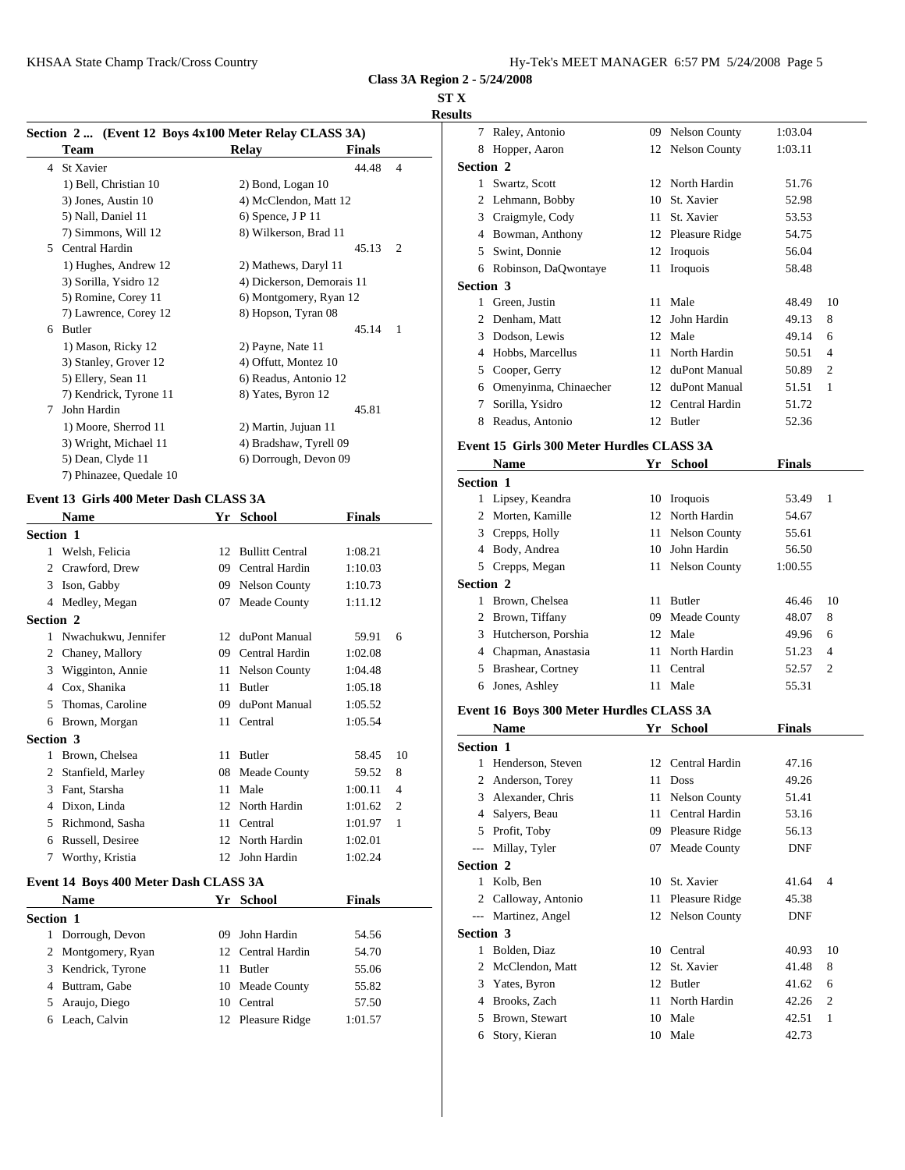### **ST X**

# **Results**

|   | Section 2 (Event 12 Boys 4x100 Meter Relay CLASS 3A) |                           |               |                | Rale                 |
|---|------------------------------------------------------|---------------------------|---------------|----------------|----------------------|
|   | <b>Team</b>                                          | Relay                     | <b>Finals</b> |                | Hop<br>8             |
|   | 4 St Xavier                                          |                           | 44.48         | $\overline{4}$ | Section 2            |
|   | 1) Bell, Christian 10                                | 2) Bond, Logan 10         |               |                | Swa<br>$\mathbf{1}$  |
|   | 3) Jones, Austin 10                                  | 4) McClendon, Matt 12     |               |                | Lehi                 |
|   | 5) Nall, Daniel 11                                   | $6)$ Spence, J P 11       |               |                | Crai<br>3            |
|   | 7) Simmons, Will 12                                  | 8) Wilkerson, Brad 11     |               |                | Bow<br>4             |
| 5 | Central Hardin                                       |                           | 45.13         | $\overline{2}$ | Swii<br>5.           |
|   | 1) Hughes, Andrew 12                                 | 2) Mathews, Daryl 11      |               |                | Robi<br>6            |
|   | 3) Sorilla, Ysidro 12                                | 4) Dickerson, Demorais 11 |               |                | Section 3            |
|   | 5) Romine, Corey 11                                  | 6) Montgomery, Ryan 12    |               |                | Gree                 |
|   | 7) Lawrence, Corey 12                                | 8) Hopson, Tyran 08       |               |                | Den                  |
| 6 | Butler                                               |                           | 45.14         | - 1            | Dod<br>3             |
|   | 1) Mason, Ricky 12                                   | 2) Payne, Nate 11         |               |                | Hob<br>4             |
|   | 3) Stanley, Grover 12                                | 4) Offutt, Montez 10      |               |                |                      |
|   | 5) Ellery, Sean 11                                   | 6) Readus, Antonio 12     |               |                | 5<br>Co <sub>0</sub> |
|   | 7) Kendrick, Tyrone 11                               | 8) Yates, Byron 12        |               |                | Ome<br>6             |
| 7 | John Hardin                                          |                           | 45.81         |                | Sori                 |
|   | 1) Moore, Sherrod 11                                 | 2) Martin, Jujuan 11      |               |                | 8<br>Read            |
|   | 3) Wright, Michael 11                                | 4) Bradshaw, Tyrell 09    |               |                | Event 15             |
|   | 5) Dean, Clyde 11                                    | 6) Dorrough, Devon 09     |               |                | Nan                  |
|   | 7) Phinazee, Quedale 10                              |                           |               |                | $C = 11$             |

## **Event 13 Girls 400 Meter Dash CLASS 3A**

|                  | <b>Name</b>                           | Yr | <b>School</b>        | <b>Finals</b> |                | $\mathcal{D}_{\mathcal{L}}$ | Morte           |
|------------------|---------------------------------------|----|----------------------|---------------|----------------|-----------------------------|-----------------|
| <b>Section 1</b> |                                       |    |                      |               |                | 3                           | Crepp           |
| 1                | Welsh, Felicia                        |    | 12 Bullitt Central   | 1:08.21       |                | 4                           | Body.           |
| $\overline{2}$   | Crawford, Drew                        | 09 | Central Hardin       | 1:10.03       |                | 5                           | Crepp           |
| 3                | Ison, Gabby                           | 09 | <b>Nelson County</b> | 1:10.73       |                | Section 2                   |                 |
|                  | 4 Medley, Megan                       | 07 | Meade County         | 1:11.12       |                | 1.                          | <b>Brow</b>     |
| <b>Section 2</b> |                                       |    |                      |               |                | $\overline{c}$              | <b>Brow</b>     |
| 1                | Nwachukwu, Jennifer                   | 12 | duPont Manual        | 59.91         | 6              | 3                           | Hutch           |
| 2                | Chaney, Mallory                       | 09 | Central Hardin       | 1:02.08       |                | 4                           | Chapi           |
| 3                | Wigginton, Annie                      | 11 | <b>Nelson County</b> | 1:04.48       |                |                             | <b>Brash</b>    |
| 4                | Cox, Shanika                          | 11 | <b>Butler</b>        | 1:05.18       |                | 6                           | Jones           |
| 5                | Thomas, Caroline                      | 09 | duPont Manual        | 1:05.52       |                |                             | Event 16 B      |
| 6                | Brown, Morgan                         |    | 11 Central           | 1:05.54       |                |                             | <b>Nam</b>      |
| <b>Section 3</b> |                                       |    |                      |               |                | Section 1                   |                 |
| 1                | Brown, Chelsea                        |    | 11 Butler            | 58.45         | 10             |                             | Hend            |
| 2                | Stanfield, Marley                     | 08 | Meade County         | 59.52         | 8              |                             | Ander           |
| 3                | Fant, Starsha                         | 11 | Male                 | 1:00.11       | $\overline{4}$ | 3                           | Alexa           |
| 4                | Dixon, Linda                          | 12 | North Hardin         | 1:01.62       | $\overline{2}$ | 4                           |                 |
| 5                | Richmond, Sasha                       | 11 | Central              | 1:01.97       | 1              | 5                           | Salye<br>Profit |
| 6                | Russell, Desiree                      |    | 12 North Hardin      | 1:02.01       |                | $\overline{a}$              | Milla           |
| 7                | Worthy, Kristia                       |    | 12 John Hardin       | 1:02.24       |                |                             |                 |
|                  |                                       |    |                      |               |                | Section 2                   | Kolb,           |
|                  | Event 14 Boys 400 Meter Dash CLASS 3A |    |                      |               |                |                             | Callo           |
|                  | <b>Name</b>                           |    | Yr School            | <b>Finals</b> |                |                             |                 |
| <b>Section 1</b> |                                       |    |                      |               |                |                             | Marti           |
| 1                | Dorrough, Devon                       | 09 | John Hardin          | 54.56         |                | Section 3                   |                 |
| 2                | Montgomery, Ryan                      |    | 12 Central Hardin    | 54.70         |                |                             | 1 Bolde         |

| 2 Montgomery, Ryan | 12 Central Hardin | 54.7V   |                |
|--------------------|-------------------|---------|----------------|
| 3 Kendrick, Tyrone | <b>Butler</b>     | 55.06   | 2 <sup>1</sup> |
| 4 Buttram, Gabe    | 10 Meade County   | 55.82   | 3 <sup>1</sup> |
| 5 Araujo, Diego    | 10 Central        | 57.50   | $4 \quad$      |
| 6 Leach, Calvin    | 12 Pleasure Ridge | 1:01.57 |                |

| пь               |                       |    |                      |         |                |
|------------------|-----------------------|----|----------------------|---------|----------------|
| 7                | Raley, Antonio        | 09 | <b>Nelson County</b> | 1:03.04 |                |
| 8                | Hopper, Aaron         |    | 12 Nelson County     | 1:03.11 |                |
|                  | Section 2             |    |                      |         |                |
| 1                | Swartz, Scott         |    | 12 North Hardin      | 51.76   |                |
| 2                | Lehmann, Bobby        | 10 | St. Xavier           | 52.98   |                |
| 3                | Craigmyle, Cody       | 11 | St. Xavier           | 53.53   |                |
| 4                | Bowman, Anthony       |    | 12 Pleasure Ridge    | 54.75   |                |
| 5                | Swint, Donnie         |    | 12 Iroquois          | 56.04   |                |
| 6                | Robinson, DaQwontaye  | 11 | Iroquois             | 58.48   |                |
| <b>Section 3</b> |                       |    |                      |         |                |
| 1                | Green, Justin         | 11 | Male                 | 48.49   | 10             |
| 2                | Denham, Matt          | 12 | John Hardin          | 49.13   | 8              |
| 3                | Dodson, Lewis         | 12 | Male                 | 49.14   | 6              |
| 4                | Hobbs, Marcellus      | 11 | North Hardin         | 50.51   | $\overline{4}$ |
| 5                | Cooper, Gerry         | 12 | duPont Manual        | 50.89   | $\overline{c}$ |
| 6                | Omenyinma, Chinaecher | 12 | duPont Manual        | 51.51   | 1              |
| 7                | Sorilla, Ysidro       | 12 | Central Hardin       | 51.72   |                |
| 8                | Readus, Antonio       | 12 | Butler               | 52.36   |                |
|                  |                       |    |                      |         |                |

# **Event 15 Girls 300 Meter Hurdles CLASS 3A**

|                  | <b>Name</b>         |    | Yr School        | <b>Finals</b> |                |
|------------------|---------------------|----|------------------|---------------|----------------|
| Section 1        |                     |    |                  |               |                |
|                  | 1 Lipsey, Keandra   |    | 10 Iroquois      | 53.49         | 1              |
|                  | 2 Morten, Kamille   |    | 12 North Hardin  | 54.67         |                |
|                  | 3 Crepps, Holly     |    | 11 Nelson County | 55.61         |                |
| 4                | Body, Andrea        | 10 | John Hardin      | 56.50         |                |
|                  | 5 Crepps, Megan     |    | 11 Nelson County | 1:00.55       |                |
| <b>Section 2</b> |                     |    |                  |               |                |
|                  | Brown, Chelsea      |    | 11 Butler        | 46.46         | 10             |
|                  | 2 Brown, Tiffany    |    | 09 Meade County  | 48.07         | 8              |
| 3                | Hutcherson, Porshia |    | 12 Male          | 49.96         | 6              |
| 4                | Chapman, Anastasia  |    | 11 North Hardin  | 51.23         | $\overline{4}$ |
| 5.               | Brashear, Cortney   |    | 11 Central       | 52.57         | $\overline{2}$ |
| 6                | Jones, Ashley       | 11 | Male             | 55.31         |                |

# **Event 16 Boys 300 Meter Hurdles CLASS 3A**

|                  | Name              | Yr | <b>School</b>        | <b>Finals</b> |                |
|------------------|-------------------|----|----------------------|---------------|----------------|
| <b>Section 1</b> |                   |    |                      |               |                |
| 1                | Henderson, Steven | 12 | Central Hardin       | 47.16         |                |
| 2                | Anderson, Torey   | 11 | Doss                 | 49.26         |                |
| 3                | Alexander, Chris  | 11 | <b>Nelson County</b> | 51.41         |                |
| 4                | Salyers, Beau     | 11 | Central Hardin       | 53.16         |                |
| 5                | Profit, Toby      | 09 | Pleasure Ridge       | 56.13         |                |
| $\cdots$         | Millay, Tyler     | 07 | Meade County         | <b>DNF</b>    |                |
| Section 2        |                   |    |                      |               |                |
| 1                | Kolb, Ben         | 10 | St. Xavier           | 41.64         | $\overline{4}$ |
| 2                | Calloway, Antonio |    | 11 Pleasure Ridge    | 45.38         |                |
| $---$            | Martinez, Angel   |    | 12 Nelson County     | DNF           |                |
| <b>Section 3</b> |                   |    |                      |               |                |
|                  | Bolden, Diaz      | 10 | Central              | 40.93         | 10             |
| 2                | McClendon, Matt   | 12 | St. Xavier           | 41.48         | 8              |
| 3                | Yates, Byron      | 12 | <b>Butler</b>        | 41.62         | 6              |
| 4                | Brooks, Zach      | 11 | North Hardin         | 42.26         | $\overline{2}$ |
| 5                | Brown, Stewart    | 10 | Male                 | 42.51         | 1              |
| 6                | Story, Kieran     | 10 | Male                 | 42.73         |                |
|                  |                   |    |                      |               |                |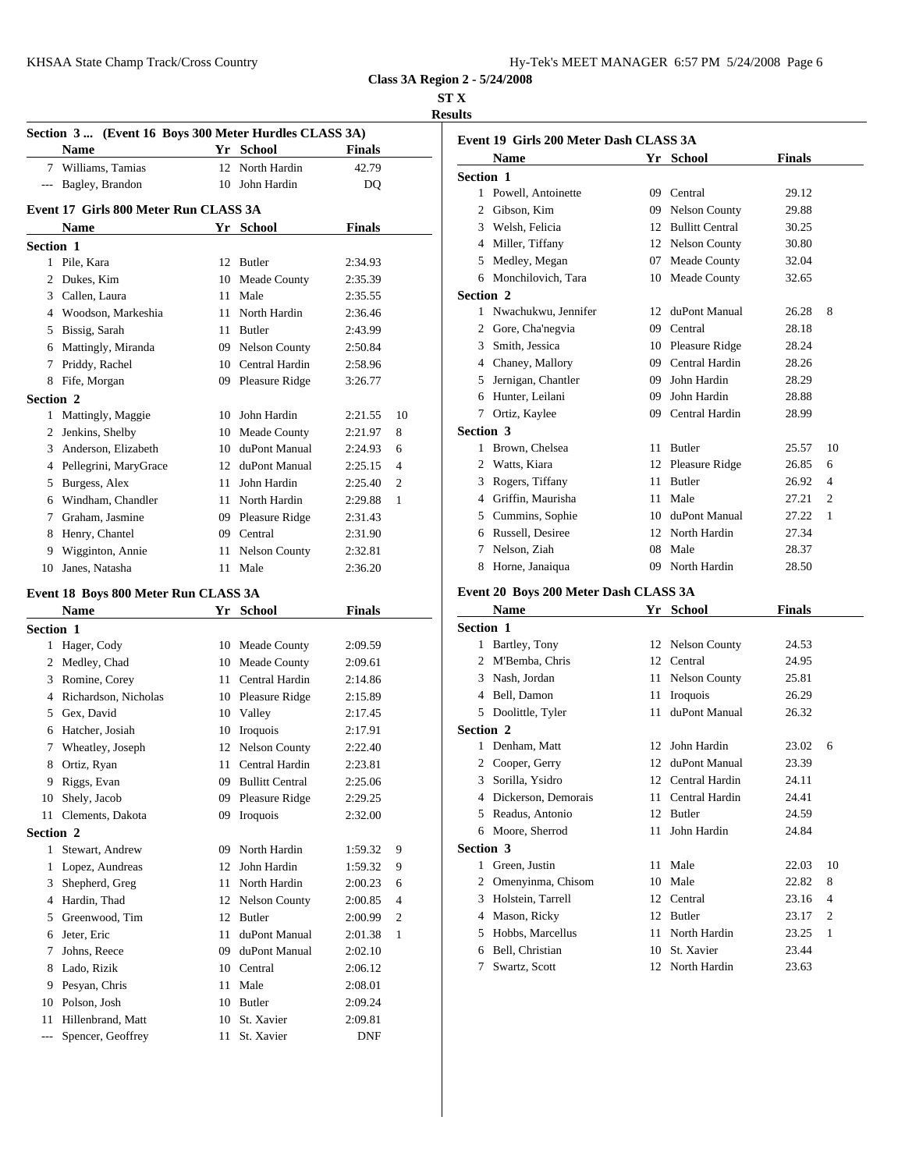### **ST X**

**Results**

|                  |                                                       |                    |               |                | results        |                       |
|------------------|-------------------------------------------------------|--------------------|---------------|----------------|----------------|-----------------------|
|                  | Section 3  (Event 16 Boys 300 Meter Hurdles CLASS 3A) |                    |               |                |                | <b>Event 19 Girls</b> |
|                  | <b>Name</b>                                           | Yr School          | <b>Finals</b> |                |                | <b>Name</b>           |
|                  | 7 Williams, Tamias                                    | 12 North Hardin    | 42.79         |                | Section 1      |                       |
|                  | --- Bagley, Brandon                                   | 10 John Hardin     | DQ            |                |                | 1 Powell, Ar          |
|                  | Event 17 Girls 800 Meter Run CLASS 3A                 |                    |               |                | $\overline{2}$ | Gibson, Ki            |
|                  | Name                                                  | Yr School          | <b>Finals</b> |                | 3              | Welsh, Fel            |
| <b>Section 1</b> |                                                       |                    |               |                |                | 4 Miller, Tif         |
|                  | 1 Pile, Kara                                          | 12 Butler          | 2:34.93       |                | 5              | Medley, M             |
|                  | 2 Dukes, Kim                                          | 10 Meade County    | 2:35.39       |                | 6              | Monchilov             |
|                  | 3 Callen, Laura                                       | 11 Male            | 2:35.55       |                | Section 2      |                       |
|                  | 4 Woodson, Markeshia                                  | 11 North Hardin    | 2:36.46       |                |                | 1 Nwachukv            |
| 5                | Bissig, Sarah                                         | 11 Butler          | 2:43.99       |                |                | 2 Gore, Cha'          |
|                  | 6 Mattingly, Miranda                                  | 09 Nelson County   | 2:50.84       |                | 3              | Smith, Jess           |
|                  | 7 Priddy, Rachel                                      | 10 Central Hardin  | 2:58.96       |                |                | 4 Chaney, M           |
|                  | 8 Fife, Morgan                                        | 09 Pleasure Ridge  | 3:26.77       |                | 5              | Jernigan, C           |
| Section 2        |                                                       |                    |               |                | 6              | Hunter, Le            |
|                  | 1 Mattingly, Maggie                                   | 10 John Hardin     | 2:21.55       | 10             | 7              | Ortiz, Kay            |
|                  | 2 Jenkins, Shelby                                     | 10 Meade County    | 2:21.97       | 8              | Section 3      |                       |
| 3                | Anderson, Elizabeth                                   | 10 duPont Manual   | 2:24.93       | 6              |                | 1 Brown, Ch           |
|                  | 4 Pellegrini, MaryGrace                               | 12 duPont Manual   | 2:25.15       | 4              |                | 2 Watts, Kia          |
|                  | 5 Burgess, Alex                                       | 11 John Hardin     | 2:25.40       | $\overline{2}$ |                | 3 Rogers, Ti          |
|                  | 6 Windham, Chandler                                   | 11 North Hardin    | 2:29.88       | 1              | $\overline{4}$ | Griffin, M            |
| 7                | Graham, Jasmine                                       | 09 Pleasure Ridge  | 2:31.43       |                | 5              | Cummins,              |
| 8                | Henry, Chantel                                        | 09 Central         | 2:31.90       |                | 6              | Russell, D            |
| 9                | Wigginton, Annie                                      | 11 Nelson County   | 2:32.81       |                | 7              | Nelson, Zi            |
|                  | 10 Janes, Natasha                                     | 11 Male            | 2:36.20       |                | 8              | Horne, Jan            |
|                  | Event 18 Boys 800 Meter Run CLASS 3A                  |                    |               |                |                | Event 20 Boys         |
|                  | <b>Name</b>                                           | Yr School          | <b>Finals</b> |                |                | <b>Name</b>           |
| Section 1        |                                                       |                    |               |                | Section 1      |                       |
|                  | 1 Hager, Cody                                         | 10 Meade County    | 2:09.59       |                |                | 1 Bartley, To         |
|                  | 2 Medley, Chad                                        | 10 Meade County    | 2:09.61       |                | $\overline{2}$ | M'Bemba,              |
| 3                | Romine, Corey                                         | 11 Central Hardin  | 2:14.86       |                | 3              | Nash, Jord            |
|                  | 4 Richardson, Nicholas                                | 10 Pleasure Ridge  | 2:15.89       |                |                | 4 Bell, Dame          |
|                  | 5 Gex, David                                          | 10 Valley          | 2:17.45       |                |                | 5 Doolittle,          |
|                  | 6 Hatcher, Josiah                                     | 10 Iroquois        | 2:17.91       |                | Section 2      |                       |
| 7                | Wheatley, Joseph                                      | 12 Nelson County   | 2:22.40       |                |                | 1 Denham, N           |
| 8                | Ortiz, Ryan                                           | 11 Central Hardin  | 2:23.81       |                |                | 2 Cooper, G           |
| 9                | Riggs, Evan                                           | 09 Bullitt Central | 2:25.06       |                | 3              | Sorilla, Ys           |
|                  | 10 Shely, Jacob                                       | 09 Pleasure Ridge  | 2:29.25       |                | 4              | Dickerson.            |

| <b>Section 2</b> |                       |     |                  |            |                | Moo<br>6   |  |
|------------------|-----------------------|-----|------------------|------------|----------------|------------|--|
|                  | Stewart, Andrew       | 09  | North Hardin     | 1:59.32    | 9              | Section 3  |  |
|                  | Lopez, Aundreas       |     | 12 John Hardin   | 1:59.32    | 9              | $1$ Gree   |  |
|                  | 3 Shepherd, Greg      |     | 11 North Hardin  | 2:00.23    | 6              | 2 Ome      |  |
| 4                | Hardin. Thad          |     | 12 Nelson County | 2:00.85    | 4              | 3 Hols     |  |
|                  | 5 Greenwood, Tim      |     | 12 Butler        | 2:00.99    | $\overline{2}$ | 4 Mas      |  |
| 6                | Jeter, Eric           | 11. | duPont Manual    | 2:01.38    | -1             | 5 Hob      |  |
| 7                | Johns, Reece          | 09. | duPont Manual    | 2:02.10    |                | Bell.<br>6 |  |
|                  | 8 Lado, Rizik         |     | 10 Central       | 2:06.12    |                | 7 Swa      |  |
|                  | 9 Pesyan, Chris       |     | 11 Male          | 2:08.01    |                |            |  |
|                  | 10 Polson, Josh       | 10  | Butler           | 2:09.24    |                |            |  |
| 11               | Hillenbrand, Matt     | 10  | St. Xavier       | 2:09.81    |                |            |  |
|                  | --- Spencer, Geoffrey | 11. | St. Xavier       | <b>DNF</b> |                |            |  |

Clements, Dakota 09 Iroquois 2:32.00

|                  | Event 19 Girls 200 Meter Dash CLASS 3A |    |                        |               |                |
|------------------|----------------------------------------|----|------------------------|---------------|----------------|
|                  | <b>Name</b>                            | Yr | School                 | <b>Finals</b> |                |
| <b>Section 1</b> |                                        |    |                        |               |                |
| 1                | Powell, Antoinette                     | 09 | Central                | 29.12         |                |
| 2                | Gibson, Kim                            | 09 | <b>Nelson County</b>   | 29.88         |                |
| 3                | Welsh, Felicia                         | 12 | <b>Bullitt Central</b> | 30.25         |                |
| 4                | Miller, Tiffany                        |    | 12 Nelson County       | 30.80         |                |
| 5                | Medley, Megan                          | 07 | Meade County           | 32.04         |                |
| 6                | Monchilovich, Tara                     | 10 | Meade County           | 32.65         |                |
| <b>Section 2</b> |                                        |    |                        |               |                |
| 1                | Nwachukwu, Jennifer                    | 12 | duPont Manual          | 26.28         | 8              |
| 2                | Gore, Cha'negvia                       | 09 | Central                | 28.18         |                |
| 3                | Smith, Jessica                         | 10 | <b>Pleasure Ridge</b>  | 28.24         |                |
| 4                | Chaney, Mallory                        | 09 | Central Hardin         | 28.26         |                |
| 5                | Jernigan, Chantler                     | 09 | John Hardin            | 28.29         |                |
| 6                | Hunter, Leilani                        | 09 | John Hardin            | 28.88         |                |
| 7                | Ortiz, Kaylee                          | 09 | Central Hardin         | 28.99         |                |
| <b>Section 3</b> |                                        |    |                        |               |                |
| 1                | Brown, Chelsea                         | 11 | Butler                 | 25.57         | 10             |
| 2                | Watts, Kiara                           |    | 12 Pleasure Ridge      | 26.85         | 6              |
| 3                | Rogers, Tiffany                        | 11 | <b>Butler</b>          | 26.92         | $\overline{4}$ |
| 4                | Griffin, Maurisha                      | 11 | Male                   | 27.21         | $\overline{2}$ |
| 5                | Cummins, Sophie                        | 10 | duPont Manual          | 27.22         | 1              |
| 6                | Russell, Desiree                       | 12 | North Hardin           | 27.34         |                |
| 7                | Nelson, Ziah                           | 08 | Male                   | 28.37         |                |
| 8                | Horne, Janaiqua                        | 09 | North Hardin           | 28.50         |                |

# **Event 20 Boys 200 Meter Dash CLASS 3A**

|                  | Name                | Yr | <b>School</b>        | Finals |                |
|------------------|---------------------|----|----------------------|--------|----------------|
| <b>Section 1</b> |                     |    |                      |        |                |
| 1                | Bartley, Tony       |    | 12 Nelson County     | 24.53  |                |
| 2                | M'Bemba, Chris      | 12 | Central              | 24.95  |                |
| 3                | Nash, Jordan        | 11 | <b>Nelson County</b> | 25.81  |                |
| 4                | Bell, Damon         | 11 | Iroquois             | 26.29  |                |
| 5                | Doolittle, Tyler    | 11 | duPont Manual        | 26.32  |                |
| <b>Section 2</b> |                     |    |                      |        |                |
| 1                | Denham, Matt        | 12 | John Hardin          | 23.02  | 6              |
| 2                | Cooper, Gerry       | 12 | duPont Manual        | 23.39  |                |
| 3                | Sorilla, Ysidro     | 12 | Central Hardin       | 24.11  |                |
| 4                | Dickerson, Demorais | 11 | Central Hardin       | 24.41  |                |
| 5                | Readus, Antonio     | 12 | Butler               | 24.59  |                |
| 6                | Moore, Sherrod      | 11 | John Hardin          | 24.84  |                |
| <b>Section 3</b> |                     |    |                      |        |                |
| 1                | Green, Justin       | 11 | Male                 | 22.03  | 10             |
| 2                | Omenyinma, Chisom   | 10 | Male                 | 22.82  | 8              |
| 3                | Holstein, Tarrell   | 12 | Central              | 23.16  | $\overline{4}$ |
| 4                | Mason, Ricky        | 12 | <b>Butler</b>        | 23.17  | $\overline{2}$ |
| 5                | Hobbs, Marcellus    | 11 | North Hardin         | 23.25  | 1              |
| 6                | Bell, Christian     | 10 | St. Xavier           | 23.44  |                |
| 7                | Swartz, Scott       | 12 | North Hardin         | 23.63  |                |
|                  |                     |    |                      |        |                |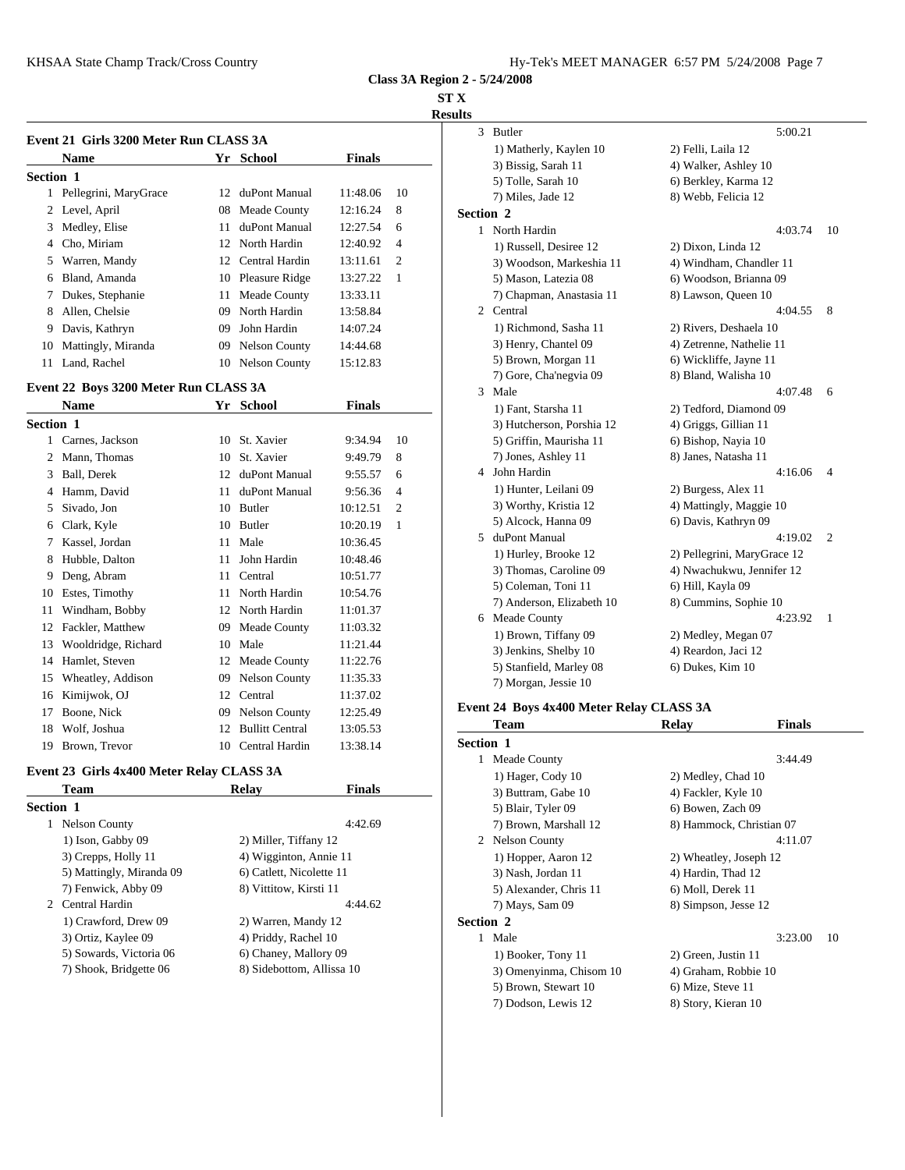# **ST X**

# **Results**

|                  | Event 21 Girls 3200 Meter Run CLASS 3A |    |                   |               |                | $\mathcal{F}$    | <b>Butlet</b>  |
|------------------|----------------------------------------|----|-------------------|---------------|----------------|------------------|----------------|
|                  | <b>Name</b>                            |    | Yr School         | <b>Finals</b> |                |                  | $1)$ Ma        |
| <b>Section 1</b> |                                        |    |                   |               |                |                  | 3) Bis         |
|                  | 1 Pellegrini, MaryGrace                | 12 | duPont Manual     | 11:48.06      | 10             |                  | 5) To<br>7) Mi |
|                  | 2 Level, April                         |    | 08 Meade County   | 12:16.24      | 8              | <b>Section 2</b> |                |
| 3                | Medley, Elise                          | 11 | duPont Manual     | 12:27.54      | 6              |                  | North          |
| 4                | Cho, Miriam                            |    | 12 North Hardin   | 12:40.92      | $\overline{4}$ |                  | 1) Ru          |
| 5                | Warren, Mandy                          |    | 12 Central Hardin | 13:11.61      | $\overline{2}$ |                  | $3)$ Wo        |
| 6                | Bland, Amanda                          |    | 10 Pleasure Ridge | 13:27.22      | 1              |                  | 5) Ma          |
| 7                | Dukes, Stephanie                       | 11 | Meade County      | 13:33.11      |                |                  | $7)$ Ch        |
| 8                | Allen, Chelsie                         | 09 | North Hardin      | 13:58.84      |                | 2                | Centr          |
| 9                | Davis, Kathryn                         | 09 | John Hardin       | 14:07.24      |                |                  | $1)$ Rio       |
| 10               | Mattingly, Miranda                     |    | 09 Nelson County  | 14:44.68      |                |                  | $3)$ He        |
| 11               | Land, Rachel                           |    | 10 Nelson County  | 15:12.83      |                |                  | $5)$ Bro       |
|                  | Event 22 Boys 3200 Meter Run CLASS 3A  |    |                   |               |                | 3                | 7) Go<br>Male  |
|                  | <b>Name</b>                            |    | Yr School         | <b>Finals</b> |                |                  | 1) Fai         |
| <b>Section 1</b> |                                        |    |                   |               |                |                  | 3) Hu          |
|                  | Carnes, Jackson                        |    | 10 St. Xavier     | 9:34.94       | 10             |                  | 5) Gri         |

| $\mathbf{1}$ | Carnes, Jackson     | 10 | St. Xavier         | 9:34.94  | 10             | 5) Gri             |
|--------------|---------------------|----|--------------------|----------|----------------|--------------------|
| 2            | Mann, Thomas        | 10 | St. Xavier         | 9:49.79  | 8              | 7) Jor             |
| 3            | Ball, Derek         |    | 12 duPont Manual   | 9:55.57  | 6              | John 1<br>4        |
| 4            | Hamm, David         | 11 | duPont Manual      | 9:56.36  | 4              | 1) Hu              |
| 5            | Sivado, Jon         | 10 | <b>Butler</b>      | 10:12.51 | $\overline{2}$ | $3)$ Wo            |
| 6            | Clark, Kyle         |    | 10 Butler          | 10:20.19 | 1              | 5) Alo             |
| 7            | Kassel, Jordan      | 11 | Male               | 10:36.45 |                | duPor<br>5         |
| 8            | Hubble, Dalton      | 11 | John Hardin        | 10:48.46 |                | $1)$ Hu            |
| 9            | Deng, Abram         | 11 | Central            | 10:51.77 |                | $3)$ Th            |
| 10           | Estes, Timothy      | 11 | North Hardin       | 10:54.76 |                | 5) Co              |
| 11           | Windham, Bobby      |    | 12 North Hardin    | 11:01.37 |                | 7) An<br>Mead<br>6 |
| 12           | Fackler, Matthew    | 09 | Meade County       | 11:03.32 |                | $1)$ Br            |
| 13           | Wooldridge, Richard | 10 | Male               | 11:21.44 |                | 3) Jen             |
| 14           | Hamlet, Steven      |    | 12 Meade County    | 11:22.76 |                | 5) Sta             |
| 15           | Wheatley, Addison   |    | 09 Nelson County   | 11:35.33 |                | 7) Mc              |
| 16           | Kimijwok, OJ        |    | 12 Central         | 11:37.02 |                |                    |
| 17           | Boone, Nick         |    | 09 Nelson County   | 12:25.49 |                | Event 24 B         |
| 18           | Wolf, Joshua        |    | 12 Bullitt Central | 13:05.53 |                | Tean               |
| 19           | Brown, Trevor       |    | 10 Central Hardin  | 13:38.14 |                | Section 1          |
|              |                     |    |                    |          |                |                    |

# **Event 23 Girls 4x400 Meter Relay CLASS 3A**

| Team                      | Relay                    | <b>Finals</b>             |                |
|---------------------------|--------------------------|---------------------------|----------------|
| Section 1                 |                          |                           |                |
| <b>Nelson County</b><br>1 |                          | 4:42.69                   |                |
| 1) Ison, Gabby 09         | 2) Miller, Tiffany 12    |                           | 2 <sup>1</sup> |
| 3) Crepps, Holly 11       | 4) Wigginton, Annie 11   |                           |                |
| 5) Mattingly, Miranda 09  | 6) Catlett, Nicolette 11 |                           |                |
| 7) Fenwick, Abby 09       | 8) Vittitow, Kirsti 11   |                           |                |
| 2 Central Hardin          |                          | 4:44.62                   |                |
| 1) Crawford, Drew 09      | 2) Warren, Mandy 12      |                           | Section        |
| 3) Ortiz, Kaylee 09       | 4) Priddy, Rachel 10     |                           |                |
| 5) Sowards, Victoria 06   | 6) Chaney, Mallory 09    |                           |                |
| 7) Shook, Bridgette 06    |                          | 8) Sidebottom, Allissa 10 |                |
|                           |                          |                           |                |

|                  | 3 Butler                  | 5:00.21                     |                |
|------------------|---------------------------|-----------------------------|----------------|
|                  | 1) Matherly, Kaylen 10    | 2) Felli, Laila 12          |                |
|                  | 3) Bissig, Sarah 11       | 4) Walker, Ashley 10        |                |
|                  | 5) Tolle, Sarah 10        | 6) Berkley, Karma 12        |                |
|                  | 7) Miles, Jade 12         | 8) Webb, Felicia 12         |                |
| <b>Section 2</b> |                           |                             |                |
|                  | 1 North Hardin            | 4:03.74                     | 10             |
|                  | 1) Russell, Desiree 12    | 2) Dixon, Linda 12          |                |
|                  | 3) Woodson, Markeshia 11  | 4) Windham, Chandler 11     |                |
|                  | 5) Mason, Latezia 08      | 6) Woodson, Brianna 09      |                |
|                  | 7) Chapman, Anastasia 11  | 8) Lawson, Queen 10         |                |
|                  | 2 Central                 | 4:04.55                     | 8              |
|                  | 1) Richmond, Sasha 11     | 2) Rivers, Deshaela 10      |                |
|                  | 3) Henry, Chantel 09      | 4) Zetrenne, Nathelie 11    |                |
|                  | 5) Brown, Morgan 11       | 6) Wickliffe, Jayne 11      |                |
|                  | 7) Gore, Cha'negvia 09    | 8) Bland, Walisha 10        |                |
|                  | 3 Male                    | 4:07.48                     | 6              |
|                  | 1) Fant, Starsha 11       | 2) Tedford, Diamond 09      |                |
|                  | 3) Hutcherson, Porshia 12 | 4) Griggs, Gillian 11       |                |
|                  | 5) Griffin, Maurisha 11   | 6) Bishop, Nayia 10         |                |
|                  | 7) Jones, Ashley 11       | 8) Janes, Natasha 11        |                |
| 4                | John Hardin               | 4:16.06                     | 4              |
|                  | 1) Hunter, Leilani 09     | 2) Burgess, Alex 11         |                |
|                  | 3) Worthy, Kristia 12     | 4) Mattingly, Maggie 10     |                |
|                  | 5) Alcock, Hanna 09       | 6) Davis, Kathryn 09        |                |
|                  | 5 duPont Manual           | 4:19.02                     | $\overline{2}$ |
|                  | 1) Hurley, Brooke 12      | 2) Pellegrini, MaryGrace 12 |                |
|                  | 3) Thomas, Caroline 09    | 4) Nwachukwu, Jennifer 12   |                |
|                  | 5) Coleman, Toni 11       | 6) Hill, Kayla 09           |                |
|                  | 7) Anderson, Elizabeth 10 | 8) Cummins, Sophie 10       |                |
|                  | 6 Meade County            | 4:23.92                     | 1              |
|                  | 1) Brown, Tiffany 09      | 2) Medley, Megan 07         |                |
|                  | 3) Jenkins, Shelby 10     | 4) Reardon, Jaci 12         |                |
|                  | 5) Stanfield, Marley 08   | 6) Dukes, Kim 10            |                |
|                  | 7) Morgan, Jessie 10      |                             |                |
|                  |                           |                             |                |

# **Event 24 Boys 4x400 Meter Relay CLASS 3A**

|                  | <b>Team</b>             | Relay                    | <b>Finals</b> |  |
|------------------|-------------------------|--------------------------|---------------|--|
| <b>Section 1</b> |                         |                          |               |  |
|                  | Meade County            |                          | 3:44.49       |  |
|                  | 1) Hager, Cody 10       | 2) Medley, Chad 10       |               |  |
|                  | 3) Buttram, Gabe 10     | 4) Fackler, Kyle 10      |               |  |
|                  | 5) Blair, Tyler 09      | 6) Bowen, Zach 09        |               |  |
|                  | 7) Brown, Marshall 12   | 8) Hammock, Christian 07 |               |  |
|                  | 2 Nelson County         |                          | 4:11.07       |  |
|                  | 1) Hopper, Aaron 12     | 2) Wheatley, Joseph 12   |               |  |
|                  | 3) Nash, Jordan 11      | 4) Hardin, Thad 12       |               |  |
|                  | 5) Alexander, Chris 11  | 6) Moll, Derek 11        |               |  |
|                  | 7) Mays, Sam 09         | 8) Simpson, Jesse 12     |               |  |
| <b>Section 2</b> |                         |                          |               |  |
| 1.               | Male                    |                          | 10<br>3:23.00 |  |
|                  | 1) Booker, Tony 11      | 2) Green, Justin 11      |               |  |
|                  | 3) Omenyinma, Chisom 10 | 4) Graham, Robbie 10     |               |  |
|                  | 5) Brown, Stewart 10    | 6) Mize, Steve 11        |               |  |
|                  | 7) Dodson, Lewis 12     | 8) Story, Kieran 10      |               |  |